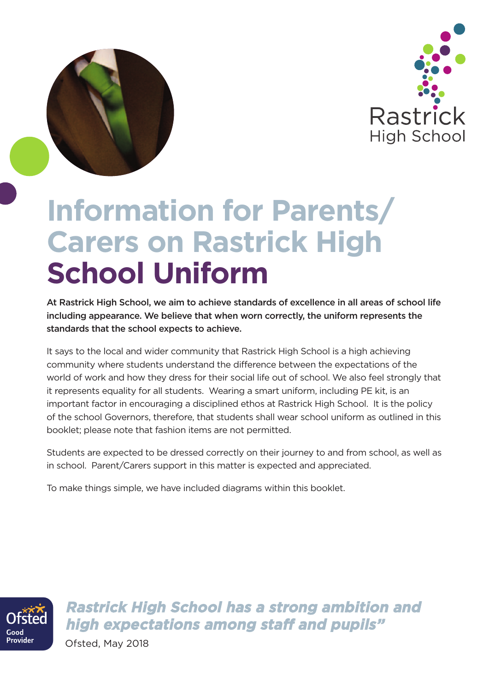

# **Information for Parents/ Carers on Rastrick High School Uniform**

At Rastrick High School, we aim to achieve standards of excellence in all areas of school life including appearance. We believe that when worn correctly, the uniform represents the standards that the school expects to achieve.

It says to the local and wider community that Rastrick High School is a high achieving community where students understand the difference between the expectations of the world of work and how they dress for their social life out of school. We also feel strongly that it represents equality for all students. Wearing a smart uniform, including PE kit, is an important factor in encouraging a disciplined ethos at Rastrick High School. It is the policy of the school Governors, therefore, that students shall wear school uniform as outlined in this booklet; please note that fashion items are not permitted.

Students are expected to be dressed correctly on their journey to and from school, as well as in school. Parent/Carers support in this matter is expected and appreciated.

To make things simple, we have included diagrams within this booklet.



**Rastrick High School has a strong ambition and high expectations among staff and pupils"**

Ofsted, May 2018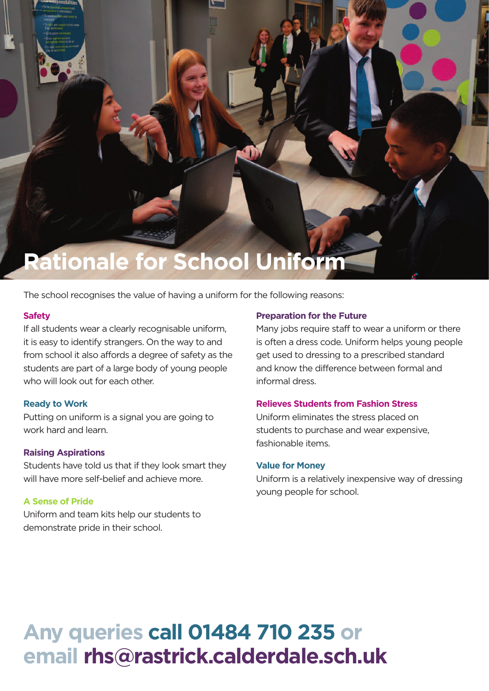

The school recognises the value of having a uniform for the following reasons:

#### **Safety**

If all students wear a clearly recognisable uniform, it is easy to identify strangers. On the way to and from school it also affords a degree of safety as the students are part of a large body of young people who will look out for each other.

### **Ready to Work**

Putting on uniform is a signal you are going to work hard and learn.

### **Raising Aspirations**

Students have told us that if they look smart they will have more self-belief and achieve more.

### **A Sense of Pride**

Uniform and team kits help our students to demonstrate pride in their school.

#### **Preparation for the Future**

Many jobs require staff to wear a uniform or there is often a dress code. Uniform helps young people get used to dressing to a prescribed standard and know the difference between formal and informal dress.

#### **Relieves Students from Fashion Stress**

Uniform eliminates the stress placed on students to purchase and wear expensive, fashionable items.

#### **Value for Money**

Uniform is a relatively inexpensive way of dressing young people for school.

# **Any queries call 01484 710 235 or email rhs@rastrick.calderdale.sch.uk**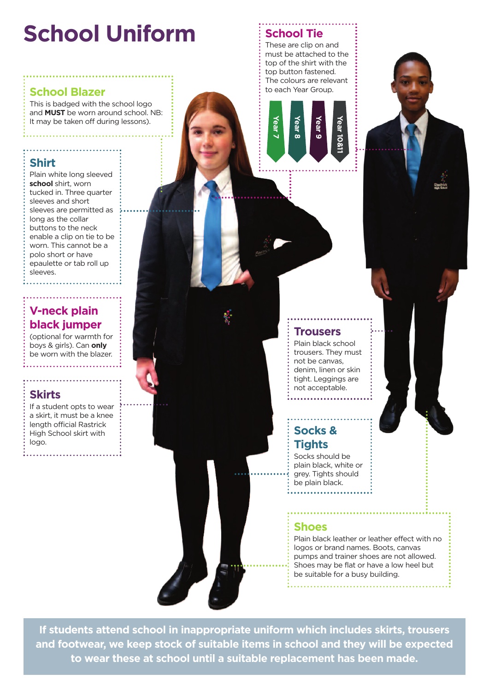# **School Uniform School Tie**

# **School Blazer**  $\vdots$   $\vdots$  to each Year Group.

This is badged with the school logo and **MUST** be worn around school. NB: It may be taken off during lessons).

# **Shirt**

Plain white long sleeved **school** shirt, worn tucked in. Three quarter sleeves and short sleeves are permitted as long as the collar buttons to the neck enable a clip on tie to be worn. This cannot be a polo short or have epaulette or tab roll up sleeves.

# **V-neck plain black jumper**

(optional for warmth for boys & girls). Can **only** be worn with the blazer.

# **Skirts**

If a student opts to wear a skirt, it must be a knee length official Rastrick High School skirt with logo.

These are clip on and must be attached to the top of the shirt with the top button fastened. The colours are relevant



# **Trousers**

Plain black school trousers. They must not be canvas, denim, linen or skin tight. Leggings are not acceptable.

# **Socks & Tights**

Socks should be plain black, white or grey. Tights should be plain black.

# **Shoes**

Plain black leather or leather effect with no logos or brand names. Boots, canvas pumps and trainer shoes are not allowed. Shoes may be flat or have a low heel but be suitable for a busy building.

**If students attend school in inappropriate uniform which includes skirts, trousers and footwear, we keep stock of suitable items in school and they will be expected to wear these at school until a suitable replacement has been made.**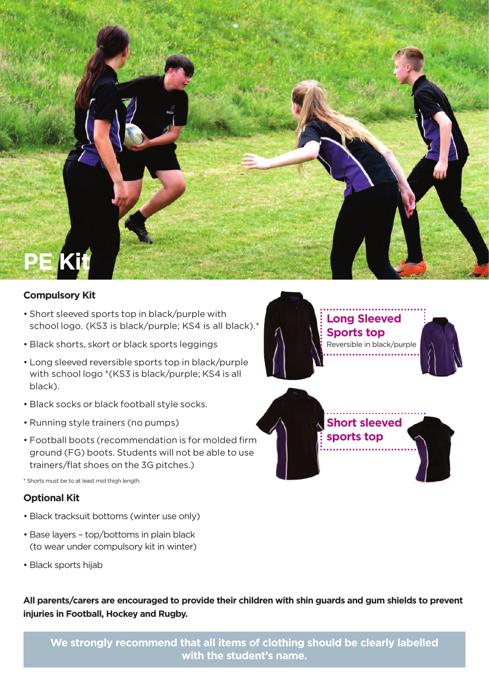

# **Compulsory Kit**

- Short sleeved sports top in black/purple with school logo. (KS3 is black/purple; KS4 is all black).\*
- Black shorts, skort or black sports leggings
- Long sleeved reversible sports top in black/purple with school logo \*(KS3 is black/purple; KS4 is all black).
- Black socks or black football style socks.
- Running style trainers (no pumps)
- Football boots (recommendation is for molded firm ground (FG) boots. Students will not be able to use trainers/flat shoes on the 3G pitches.)

\* Shorts must be to at least mid thigh length.

# **Optional Kit**

- Black tracksuit bottoms (winter use only)
- Base layers top/bottoms in plain black (to wear under compulsory kit in winter)
- Black sports hijab

**All parents/carers are encouraged to provide their children with shin guards and gum shields to prevent injuries in Football, Hockey and Rugby.**

**We strongly recommend that all items of clothing should be clearly labelled with the student's name.**





**Short sleeved sports top**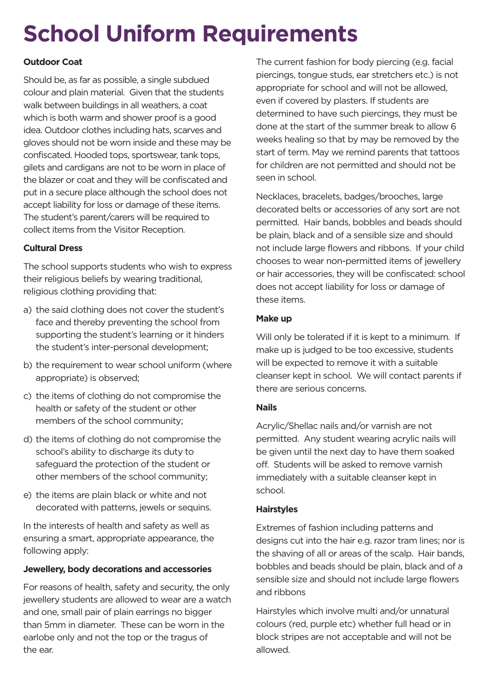# **School Uniform Requirements**

# **Outdoor Coat**

Should be, as far as possible, a single subdued colour and plain material. Given that the students walk between buildings in all weathers, a coat which is both warm and shower proof is a good idea. Outdoor clothes including hats, scarves and gloves should not be worn inside and these may be confiscated. Hooded tops, sportswear, tank tops, gilets and cardigans are not to be worn in place of the blazer or coat and they will be confiscated and put in a secure place although the school does not accept liability for loss or damage of these items. The student's parent/carers will be required to collect items from the Visitor Reception.

# **Cultural Dress**

The school supports students who wish to express their religious beliefs by wearing traditional, religious clothing providing that:

- a) the said clothing does not cover the student's face and thereby preventing the school from supporting the student's learning or it hinders the student's inter-personal development;
- b) the requirement to wear school uniform (where appropriate) is observed;
- c) the items of clothing do not compromise the health or safety of the student or other members of the school community;
- d) the items of clothing do not compromise the school's ability to discharge its duty to safeguard the protection of the student or other members of the school community;
- e) the items are plain black or white and not decorated with patterns, jewels or sequins.

In the interests of health and safety as well as ensuring a smart, appropriate appearance, the following apply:

# **Jewellery, body decorations and accessories**

For reasons of health, safety and security, the only jewellery students are allowed to wear are a watch and one, small pair of plain earrings no bigger than 5mm in diameter. These can be worn in the earlobe only and not the top or the tragus of the ear.

The current fashion for body piercing (e.g. facial piercings, tongue studs, ear stretchers etc.) is not appropriate for school and will not be allowed, even if covered by plasters. If students are determined to have such piercings, they must be done at the start of the summer break to allow 6 weeks healing so that by may be removed by the start of term. May we remind parents that tattoos for children are not permitted and should not be seen in school.

Necklaces, bracelets, badges/brooches, large decorated belts or accessories of any sort are not permitted. Hair bands, bobbles and beads should be plain, black and of a sensible size and should not include large flowers and ribbons. If your child chooses to wear non-permitted items of jewellery or hair accessories, they will be confiscated: school does not accept liability for loss or damage of these items.

### **Make up**

Will only be tolerated if it is kept to a minimum. If make up is judged to be too excessive, students will be expected to remove it with a suitable cleanser kept in school. We will contact parents if there are serious concerns.

### **Nails**

Acrylic/Shellac nails and/or varnish are not permitted. Any student wearing acrylic nails will be given until the next day to have them soaked off. Students will be asked to remove varnish immediately with a suitable cleanser kept in school.

### **Hairstyles**

Extremes of fashion including patterns and designs cut into the hair e.g. razor tram lines; nor is the shaving of all or areas of the scalp. Hair bands, bobbles and beads should be plain, black and of a sensible size and should not include large flowers and ribbons

Hairstyles which involve multi and/or unnatural colours (red, purple etc) whether full head or in block stripes are not acceptable and will not be allowed.